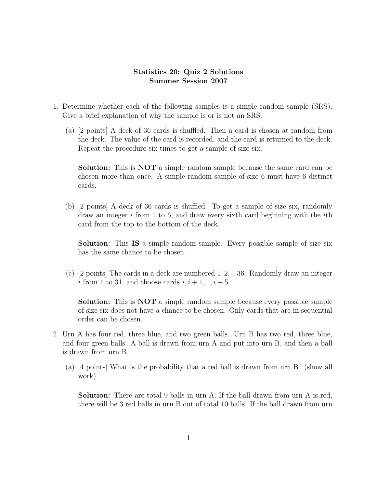## Statistics 20: Quiz 2 Solutions Summer Session 2007

- 1. Determine whether each of the following samples is a simple random sample (SRS). Give a brief explanation of why the sample is or is not an SRS.
	- (a) [2 points] A deck of 36 cards is shuffled. Then a card is chosen at random from the deck. The value of the card is recorded, and the card is returned to the deck. Repeat the procedure six times to get a sample of size six.

Solution: This is NOT a simple random sample because the same card can be chosen more than once. A simple random sample of size 6 must have 6 distinct cards.

(b) [2 points] A deck of 36 cards is shuffled. To get a sample of size six, randomly draw an integer  $i$  from 1 to 6, and draw every sixth card beginning with the  $i$ th card from the top to the bottom of the deck.

Solution: This IS a simple random sample. Every possible sample of size six has the same chance to be chosen.

(c)  $\lceil 2 \text{ points} \rceil$  The cards in a deck are numbered 1, 2, ...36. Randomly draw an integer i from 1 to 31, and choose cards  $i, i+1, \ldots, i+5$ .

Solution: This is NOT a simple random sample because every possible sample of size six does not have a chance to be chosen. Only cards that are in sequential order can be chosen.

- 2. Urn A has four red, three blue, and two green balls. Urn B has two red, three blue, and four green balls. A ball is drawn from urn A and put into urn B, and then a ball is drawn from urn B.
	- (a) [4 points] What is the probability that a red ball is drawn from urn B? (show all work)

Solution: There are total 9 balls in urn A. If the ball drawn from urn A is red, there will be 3 red balls in urn B out of total 10 balls. If the ball drawn from urn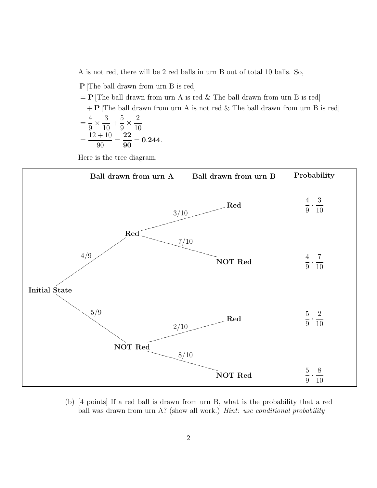A is not red, there will be 2 red balls in urn B out of total 10 balls. So,

P [The ball drawn from urn B is red]  $=$  P [The ball drawn from urn A is red & The ball drawn from urn B is red]  $+$  P [The ball drawn from urn A is not red & The ball drawn from urn B is red] = 4 9 × 3 10  $+$ 5 9 × 2 10 =  $12 + 10$ 90 = 22 90  $= 0.244.$ 

Here is the tree diagram,



(b) [4 points] If a red ball is drawn from urn B, what is the probability that a red ball was drawn from urn A? (show all work.) *Hint: use conditional probability*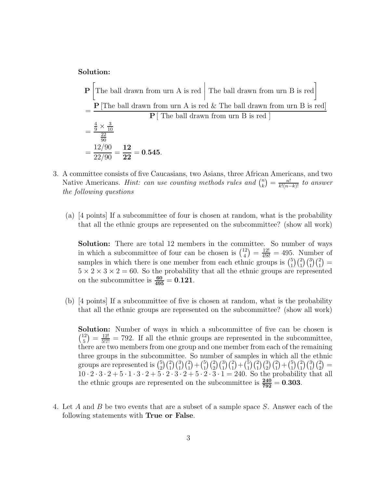Solution:

$$
\mathbf{P} \left[ \text{The ball drawn from urn A is red} \middle| \text{ The ball drawn from urn B is red} \right]
$$
\n
$$
= \frac{\mathbf{P} \left[ \text{The ball drawn from urn A is red } \& \text{ The ball drawn from urn B is red} \right]}{\mathbf{P} \left[ \text{ The ball drawn from urn B is red} \right]}
$$
\n
$$
= \frac{\frac{4}{9} \times \frac{3}{10}}{\frac{22}{90}}
$$
\n
$$
= \frac{12/90}{22/90} = \frac{12}{22} = 0.545.
$$

- 3. A committee consists of five Caucasians, two Asians, three African Americans, and two Native Americans. *Hint:* can use counting methods rules and  $\binom{n}{k}$  $\binom{n}{k} = \frac{n!}{k!(n-k)!}$  to answer the following questions
	- (a) [4 points] If a subcommittee of four is chosen at random, what is the probability that all the ethnic groups are represented on the subcommittee? (show all work)

Solution: There are total 12 members in the committee. So number of ways in which a subcommittee of four can be chosen is  $\binom{12}{4}$  $\binom{12}{4} = \frac{12!}{4!8!} = 495$ . Number of samples in which there is one member from each ethnic groups is  $\binom{5}{1}$  $_{1}^{5})\binom{2}{1}\binom{3}{1}\binom{2}{1}$  =  $5 \times 2 \times 3 \times 2 = 60$ . So the probability that all the ethnic groups are represented on the subcommittee is  $\frac{60}{495} = 0.121$ .

(b) [4 points] If a subcommittee of five is chosen at random, what is the probability that all the ethnic groups are represented on the subcommittee? (show all work)

Solution: Number of ways in which a subcommittee of five can be chosen is  $\binom{12}{5}$  $\binom{12}{5} = \frac{12!}{5!7!} = 792$ . If all the ethnic groups are represented in the subcommittee, there are two members from one group and one member from each of the remaining three groups in the subcommittee. So number of samples in which all the ethnic groups are represented is  $\binom{5}{2}$  $\binom{5}{2}\binom{2}{1}\binom{3}{1}\binom{2}{1}+\binom{5}{1}$  $\binom{5}{1}\binom{2}{2}\binom{3}{1}\binom{2}{1}+\binom{5}{1}$  $\binom{5}{1}\binom{2}{1}\binom{3}{2}\binom{2}{1} + \binom{5}{1}$  $_{1}^{5}$  $\binom{2}{1}\binom{3}{1}\binom{2}{2}$  =  $10 \cdot 2 \cdot 3 \cdot 2 + 5 \cdot 1 \cdot 3 \cdot 2 + 5 \cdot 2 \cdot 3 \cdot 2 + 5 \cdot 2 \cdot 3 \cdot 1 = 240$ . So the probability that all the ethnic groups are represented on the subcommittee is  $\frac{240}{792} = 0.303$ .

4. Let A and B be two events that are a subset of a sample space S. Answer each of the following statements with True or False.